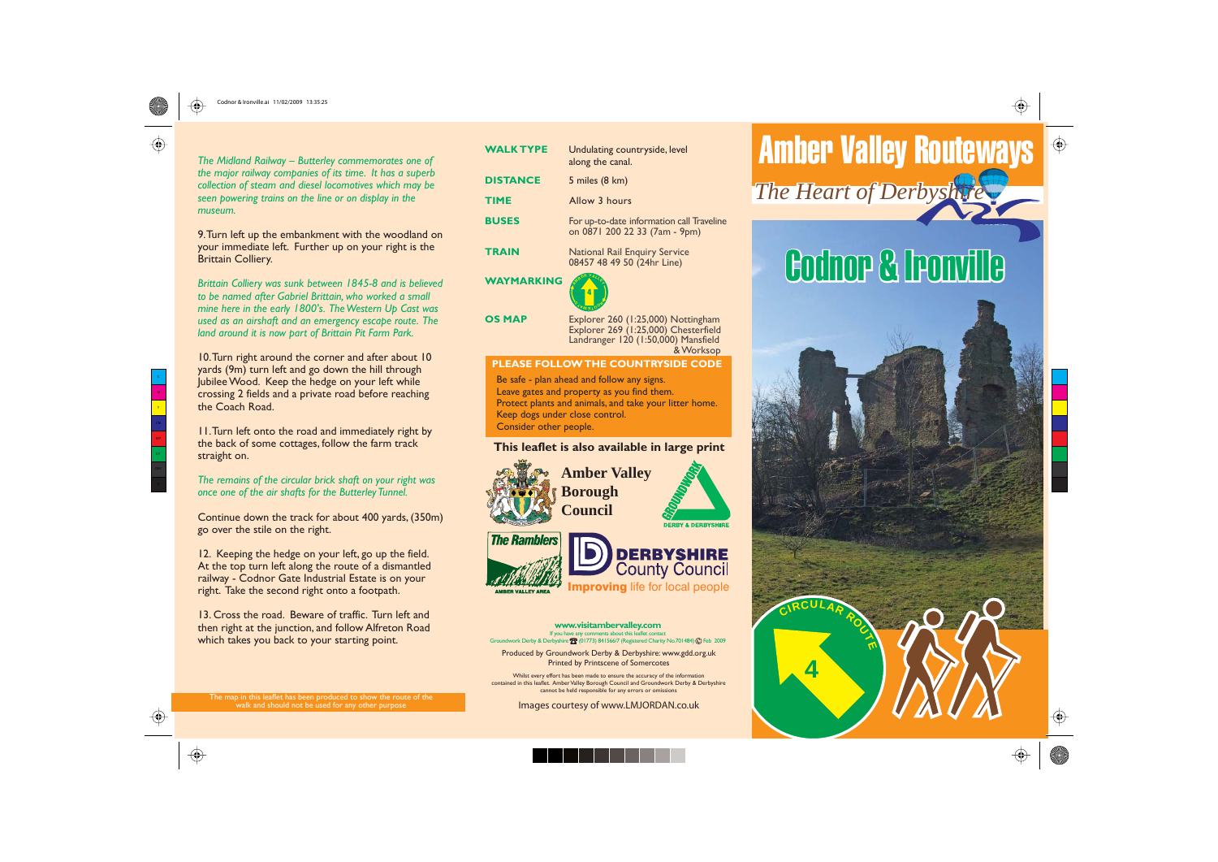

# $\bigoplus$





**www.visitambervalley.com** If you have any comments about this leaflet contact<br>Groundwork Derby & Derbyshire Te (01773) 841566/7 (Registered Charity No.701484) @ Feb 2009

### **This leaflet is also available in large print**

Be safe - plan ahead and follow any signs. Leave gates and property as you find them. Protect plants and animals, and take your litter home. Keep dogs under close control. Consider other people.

Produced by Groundwork Derby & Derbyshire: www.gdd.org.uk Printed by Printscene of Somercotes

*The Midland Railway – Butterley commemorates one of the major railway companies of its time. It has a superb collection of steam and diesel locomotives which may be seen powering trains on the line or on display in the museum.*

10. Turn right around the corner and after about 10 yards (9m) turn left and go down the hill through Jubilee Wood. Keep the hedge on your left while crossing 2 fields and a private road before reaching the Coach Road.

9. Turn left up the embankment with the woodland on your immediate left. Further up on your right is the Brittain Colliery.

*Brittain Colliery was sunk between 1845-8 and is believed to be named after Gabriel Brittain, who worked a small mine here in the early 1800's. The Western Up Cast was used as an airshaft and an emergency escape route. The land around it is now part of Brittain Pit Farm Park.*

| <b>WALK TYPE</b>                          | Undulating countryside, level<br>along the canal.                                                                              |
|-------------------------------------------|--------------------------------------------------------------------------------------------------------------------------------|
| <b>DISTANCE</b>                           | 5 miles (8 km)                                                                                                                 |
| <b>TIME</b>                               | Allow 3 hours                                                                                                                  |
| <b>BUSES</b>                              | For up-to-date information call Traveline<br>on 0871 200 22 33 (7am - 9pm)                                                     |
| <b>TRAIN</b>                              | <b>National Rail Enquiry Service</b><br>08457 48 49 50 (24hr Line)                                                             |
| <b>WAYMARKING</b>                         | וודו∧ל                                                                                                                         |
| <b>OS MAP</b>                             | Explorer 260 (1:25,000) Nottingham<br>Explorer 269 (1:25,000) Chesterfield<br>Landranger 120 (1:50,000) Mansfield<br>& Worksop |
| PLEASE FOLLOW THE COUNTRYSIDE CODE        |                                                                                                                                |
| Be safe - plan abead and follow any signs |                                                                                                                                |

11. Turn left onto the road and immediately right by the back of some cottages, follow the farm track straight on.







*The remains of the circular brick shaft on your right was once one of the air shafts for the Butterley Tunnel.*

Continue down the track for about 400 yards, (350m) go over the stile on the right.

12. Keeping the hedge on your left, go up the field. At the top turn left along the route of a dismantled railway - Codnor Gate Industrial Estate is on your right. Take the second right onto a footpath.

13. Cross the road. Beware of traffic. Turn left and then right at the junction, and follow Alfreton Road which takes you back to your starting point.

The map in this leaflet has been produced to show the route of the walk and should not be used for any other purpose

Whilst every effort has been made to ensure the accuracy of the information contained in this leaflet. Amber Valley Borough Council and Groundwork Derby & Derbyshire cannot be held responsible for any errors or omissions

Images courtesy of www.LMJORDAN.co.uk